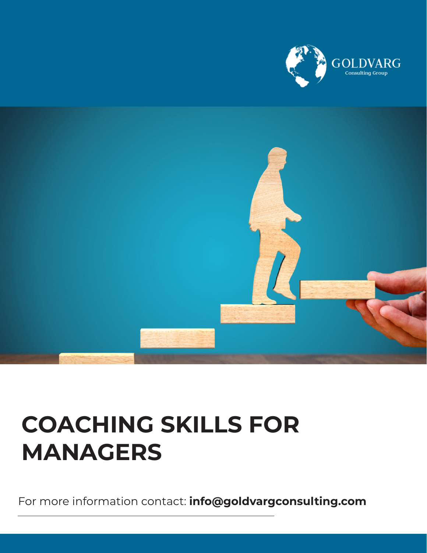



## **COACHING SKILLS FOR MANAGERS**

For more information contact: **info@goldvargconsulting.com**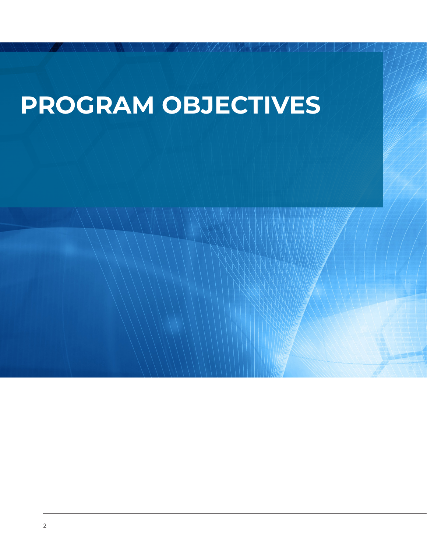## **PROGRAM OBJECTIVES**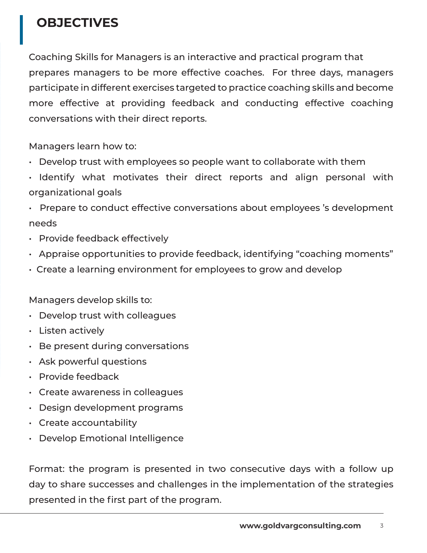## **OBJECTIVES**

Coaching Skills for Managers is an interactive and practical program that prepares managers to be more effective coaches. For three days, managers participate in different exercises targeted to practice coaching skills and become more effective at providing feedback and conducting effective coaching conversations with their direct reports.

Managers learn how to:

- Develop trust with employees so people want to collaborate with them
- Identify what motivates their direct reports and align personal with organizational goals
- Prepare to conduct effective conversations about employees 's development needs
- Provide feedback effectively
- Appraise opportunities to provide feedback, identifying "coaching moments"
- Create a learning environment for employees to grow and develop

Managers develop skills to:

- Develop trust with colleagues
- Listen actively
- Be present during conversations
- Ask powerful questions
- Provide feedback
- Create awareness in colleagues
- Design development programs
- Create accountability
- Develop Emotional Intelligence

Format: the program is presented in two consecutive days with a follow up day to share successes and challenges in the implementation of the strategies presented in the first part of the program.